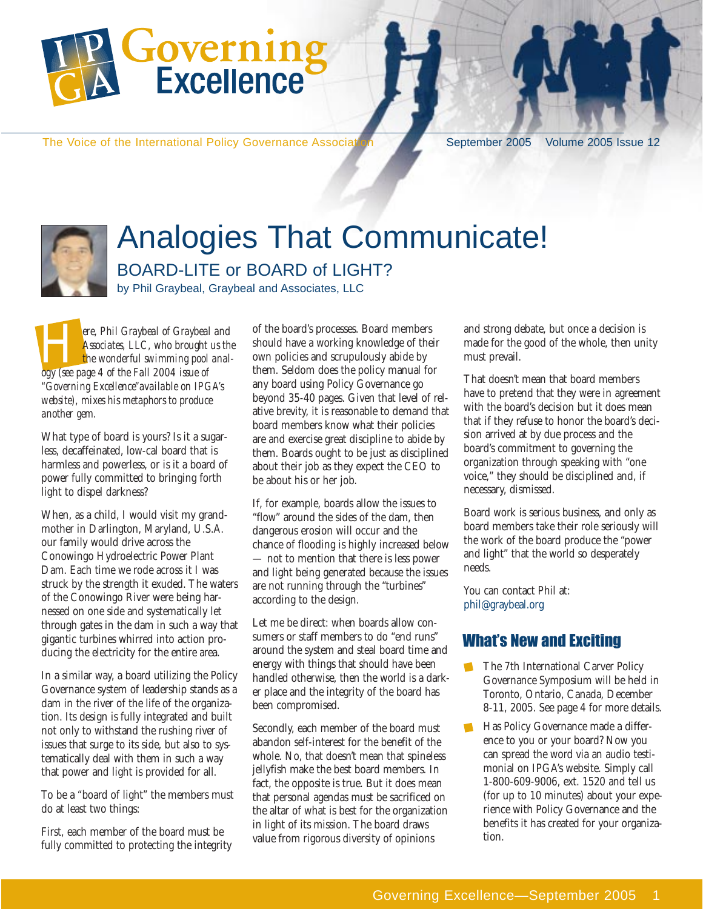

The Voice of the International Policy Governance Association September 2005 Volume 2005 Issue 12



# Analogies That Communicate! BOARD-LITE or BOARD of LIGHT?

by Phil Graybeal, Graybeal and Associates, LLC

ere, Phil Graybeal of Graybeal and<br> *Associates, LLC, who brought us the*<br> *ogy (see page 4 of the Fall 2004 issue of Associates, LLC, who brought us the the wonderful swimming pool anal-"Governing Excellence"available on IPGA's website), mixes his metaphors to produce another gem.*

What type of board is yours? Is it a sugarless, decaffeinated, low-cal board that is harmless and powerless, or is it a board of power fully committed to bringing forth light to dispel darkness?

When, as a child, I would visit my grandmother in Darlington, Maryland, U.S.A. our family would drive across the Conowingo Hydroelectric Power Plant Dam. Each time we rode across it I was struck by the strength it exuded. The waters of the Conowingo River were being harnessed on one side and systematically let through gates in the dam in such a way that gigantic turbines whirred into action producing the electricity for the entire area.

In a similar way, a board utilizing the Policy Governance system of leadership stands as a dam in the river of the life of the organization. Its design is fully integrated and built not only to withstand the rushing river of issues that surge to its side, but also to systematically deal with them in such a way that power and light is provided for all.

To be a "board of light" the members must do at least two things:

First, each member of the board must be fully committed to protecting the integrity

of the board's processes. Board members should have a working knowledge of their own policies and scrupulously abide by them. Seldom does the policy manual for any board using Policy Governance go beyond 35-40 pages. Given that level of relative brevity, it is reasonable to demand that board members know what their policies are and exercise great discipline to abide by them. Boards ought to be just as disciplined about their job as they expect the CEO to be about his or her job.

If, for example, boards allow the issues to "flow" around the sides of the dam, then dangerous erosion will occur and the chance of flooding is highly increased below — not to mention that there is less power and light being generated because the issues are not running through the "turbines" according to the design.

Let me be direct: when boards allow consumers or staff members to do "end runs" around the system and steal board time and energy with things that should have been handled otherwise, then the world is a darker place and the integrity of the board has been compromised.

Secondly, each member of the board must abandon self-interest for the benefit of the whole. No, that doesn't mean that spineless jellyfish make the best board members. In fact, the opposite is true. But it does mean that personal agendas must be sacrificed on the altar of what is best for the organization in light of its mission. The board draws value from rigorous diversity of opinions

and strong debate, but once a decision is made for the good of the whole, then unity must prevail.

That doesn't mean that board members have to pretend that they were in agreement with the board's decision but it does mean that if they refuse to honor the board's decision arrived at by due process and the board's commitment to governing the organization through speaking with "one voice," they should be disciplined and, if necessary, dismissed.

Board work is serious business, and only as board members take their role seriously will the work of the board produce the "power and light" that the world so desperately needs.

You can contact Phil at: phil@graybeal.org

### What's New and Exciting

- The 7th International Carver Policy Governance Symposium will be held in Toronto, Ontario, Canada, December 8-11, 2005. See page 4 for more details.
- Has Policy Governance made a differ-ence to you or your board? Now you can spread the word via an audio testimonial on IPGA's website. Simply call 1-800-609-9006, ext. 1520 and tell us (for up to 10 minutes) about your experience with Policy Governance and the benefits it has created for your organization.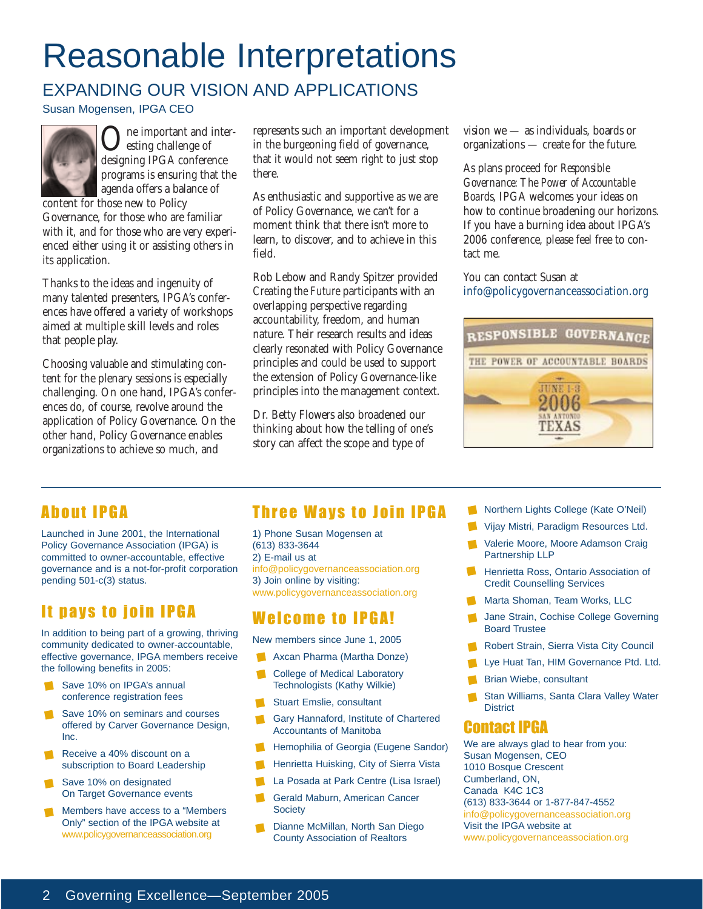# Reasonable Interpretations

## EXPANDING OUR VISION AND APPLICATIONS

Susan Mogensen, IPGA CEO



One important and inter-designing IPGA conference esting challenge of programs is ensuring that the agenda offers a balance of

content for those new to Policy Governance, for those who are familiar with it, and for those who are very experienced either using it or assisting others in its application.

Thanks to the ideas and ingenuity of many talented presenters, IPGA's conferences have offered a variety of workshops aimed at multiple skill levels and roles that people play.

Choosing valuable and stimulating content for the plenary sessions is especially challenging. On one hand, IPGA's conferences do, of course, revolve around the application of Policy Governance. On the other hand, Policy Governance enables organizations to achieve so much, and

represents such an important development in the burgeoning field of governance, that it would not seem right to just stop there.

As enthusiastic and supportive as we are of Policy Governance, we can't for a moment think that there isn't more to learn, to discover, and to achieve in this field.

Rob Lebow and Randy Spitzer provided *Creating the Future* participants with an overlapping perspective regarding accountability, freedom, and human nature. Their research results and ideas clearly resonated with Policy Governance principles and could be used to support the extension of Policy Governance-like principles into the management context.

Dr. Betty Flowers also broadened our thinking about how the telling of one's story can affect the scope and type of

vision we — as individuals, boards or organizations — create for the future.

As plans proceed for *Responsible Governance: The Power of Accountable Boards*, IPGA welcomes your ideas on how to continue broadening our horizons. If you have a burning idea about IPGA's 2006 conference, please feel free to contact me.

You can contact Susan at info@policygovernanceassociation.org



## About IPGA

Launched in June 2001, the International Policy Governance Association (IPGA) is committed to owner-accountable, effective governance and is a not-for-profit corporation pending 501-c(3) status.

## It pays to join IPGA

In addition to being part of a growing, thriving community dedicated to owner-accountable, effective governance, IPGA members receive the following benefits in 2005:

- Save 10% on IPGA's annual conference registration fees
- Save 10% on seminars and courses offered by Carver Governance Design, Inc.
- Receive a 40% discount on a subscription to Board Leadership
- Save 10% on designated On Target Governance events
- Members have access to a "Members Only" section of the IPGA website at www.policygovernanceassociation.org

## Three Ways to Join IPGA

1) Phone Susan Mogensen at (613) 833-3644 2) E-mail us at info@policygovernanceassociation.org 3) Join online by visiting: www.policygovernanceassociation.org

### Welcome to IPGA!

New members since June 1, 2005

- Axcan Pharma (Martha Donze)
- College of Medical Laboratory Technologists (Kathy Wilkie)
- Stuart Emslie, consultant
- Gary Hannaford, Institute of Chartered Accountants of Manitoba
- Hemophilia of Georgia (Eugene Sandor) П
- Henrietta Huisking, City of Sierra Vista
- La Posada at Park Centre (Lisa Israel)
- Gerald Maburn, American Cancer **Society**
- Dianne McMillan, North San Diego County Association of Realtors
- Northern Lights College (Kate O'Neil)
- Vijay Mistri, Paradigm Resources Ltd.
- Valerie Moore, Moore Adamson Craig Partnership LLP
- **Henrietta Ross, Ontario Association of** Credit Counselling Services
- Marta Shoman, Team Works, LLC
- Jane Strain, Cochise College Governing Board Trustee
- Robert Strain, Sierra Vista City Council
- Lye Huat Tan, HIM Governance Ptd. Ltd.
- Brian Wiebe, consultant
- Stan Williams, Santa Clara Valley Water **District**

### Contact IPGA

We are always glad to hear from you: Susan Mogensen, CEO 1010 Bosque Crescent Cumberland, ON, Canada K4C 1C3 (613) 833-3644 or 1-877-847-4552 info@policygovernanceassociation.org Visit the IPGA website at www.policygovernanceassociation.org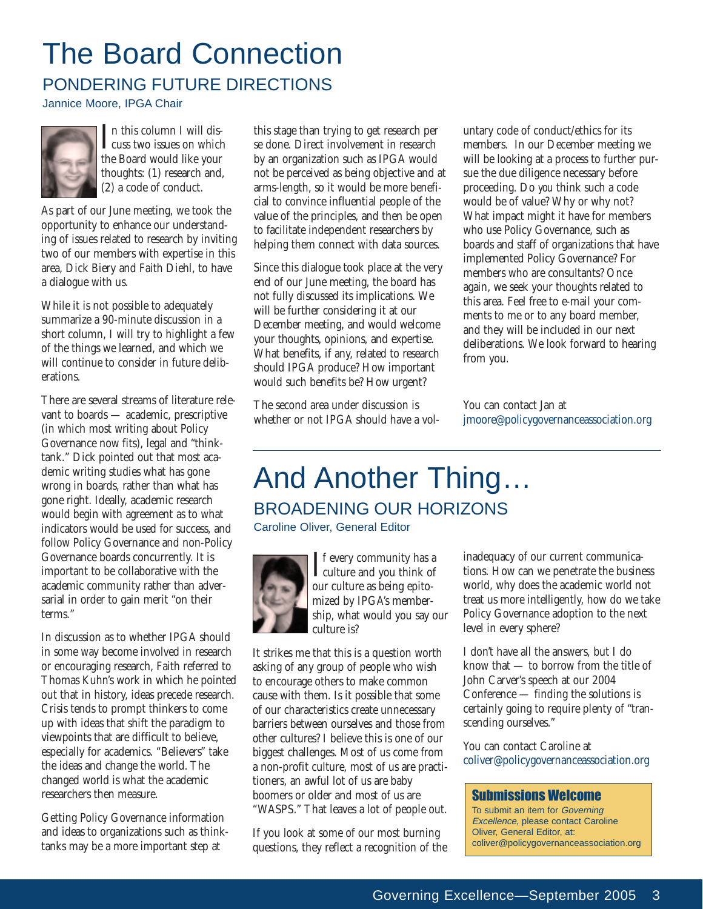# The Board Connection

# PONDERING FUTURE DIRECTIONS

Jannice Moore, IPGA Chair



I a this column I will dis-<br>the Board would like your n this column I will dis-**L**cuss two issues on which thoughts: (1) research and, (2) a code of conduct.

As part of our June meeting, we took the opportunity to enhance our understanding of issues related to research by inviting two of our members with expertise in this area, Dick Biery and Faith Diehl, to have a dialogue with us.

While it is not possible to adequately summarize a 90-minute discussion in a short column, I will try to highlight a few of the things we learned, and which we will continue to consider in future deliberations.

There are several streams of literature relevant to boards — academic, prescriptive (in which most writing about Policy Governance now fits), legal and "thinktank." Dick pointed out that most academic writing studies what has gone wrong in boards, rather than what has gone right. Ideally, academic research would begin with agreement as to what indicators would be used for success, and follow Policy Governance and non-Policy Governance boards concurrently. It is important to be collaborative with the academic community rather than adversarial in order to gain merit "on their terms."

In discussion as to whether IPGA should in some way become involved in research or encouraging research, Faith referred to Thomas Kuhn's work in which he pointed out that in history, ideas precede research. Crisis tends to prompt thinkers to come up with ideas that shift the paradigm to viewpoints that are difficult to believe, especially for academics. "Believers" take the ideas and change the world. The changed world is what the academic researchers then measure.

Getting Policy Governance information and ideas to organizations such as thinktanks may be a more important step at

this stage than trying to get research per se done. Direct involvement in research by an organization such as IPGA would not be perceived as being objective and at arms-length, so it would be more beneficial to convince influential people of the value of the principles, and then be open to facilitate independent researchers by helping them connect with data sources.

Since this dialogue took place at the very end of our June meeting, the board has not fully discussed its implications. We will be further considering it at our December meeting, and would welcome your thoughts, opinions, and expertise. What benefits, if any, related to research should IPGA produce? How important would such benefits be? How urgent?

The second area under discussion is whether or not IPGA should have a voluntary code of conduct/ethics for its members. In our December meeting we will be looking at a process to further pursue the due diligence necessary before proceeding. Do *you* think such a code would be of value? Why or why not? What impact might it have for members who use Policy Governance, such as boards and staff of organizations that have implemented Policy Governance? For members who are consultants? Once again, we seek your thoughts related to this area. Feel free to e-mail your comments to me or to any board member, and they will be included in our next deliberations. We look forward to hearing from you.

You can contact Jan at jmoore@policygovernanceassociation.org

# And Another Thing… BROADENING OUR HORIZONS

Caroline Oliver, General Editor



If every community has a<br>culture and you think of<br>our culture as being enito- $\blacksquare$  f every community has a our culture as being epitomized by IPGA's membership, what would you say our culture is?

It strikes me that this is a question worth asking of any group of people who wish to encourage others to make common cause with them. Is it possible that some of our characteristics create unnecessary barriers between ourselves and those from other cultures? I believe this is one of our biggest challenges. Most of us come from a non-profit culture, most of us are practitioners, an awful lot of us are baby boomers or older and most of us are "WASPS." That leaves a lot of people out.

If you look at some of our most burning questions, they reflect a recognition of the inadequacy of our current communications. How can we penetrate the business world, why does the academic world not treat us more intelligently, how do we take Policy Governance adoption to the next level in every sphere?

I don't have all the answers, but I do know that — to borrow from the title of John Carver's speech at our 2004 Conference — finding the solutions is certainly going to require plenty of "transcending ourselves."

You can contact Caroline at coliver@policygovernanceassociation.org

#### Submissions Welcome

To submit an item for Governing Excellence, please contact Caroline Oliver, General Editor, at: coliver@policygovernanceassociation.org